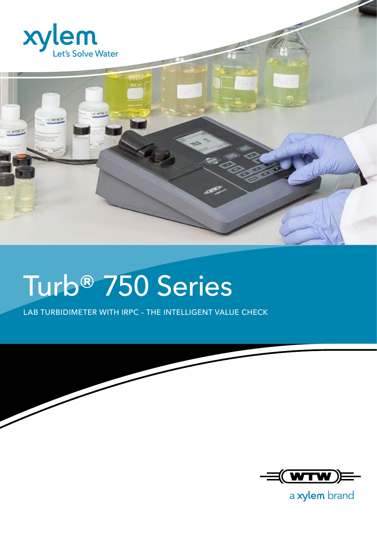



## Turb® 750 Series

LAB TURBIDIMETER WITH IRPC – THE INTELLIGENT VALUE CHECK



a xylem brand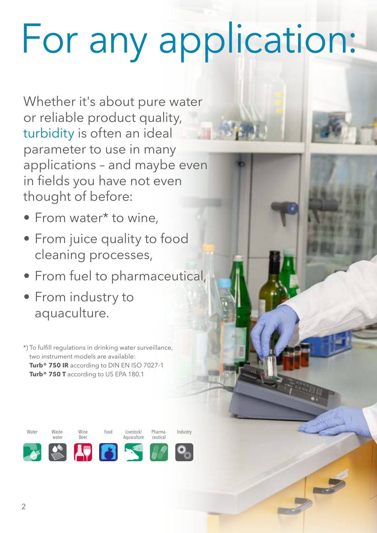# For any application:

Whether it's about pure water or reliable product quality, turbidity is often an ideal parameter to use in many applications – and maybe even in fields you have not even thought of before:

- From water\* to wine,
- From juice quality to food cleaning processes,
- From fuel to pharmaceutical,
- From industry to aquaculture.

\*) To fulfill regulations in drinking water surveillance, two instrument models are available: **Turb® 750 IR** according to DIN EN ISO 7027-1 Turb<sup>®</sup> 750 T according to US EPA 180.1

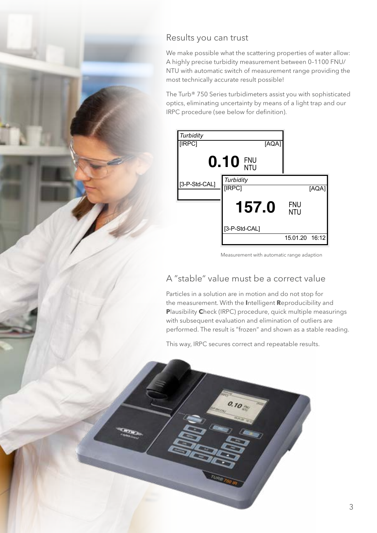## Results you can trust

We make possible what the scattering properties of water allow: A highly precise turbidity measurement between 0–1100 FNU/ NTU with automatic switch of measurement range providing the most technically accurate result possible!

The Turb® 750 Series turbidimeters assist you with sophisticated optics, eliminating uncertainty by means of a light trap and our IRPC procedure (see below for definition).



Measurement with automatic range adaption

## A "stable" value must be a correct value

Particles in a solution are in motion and do not stop for the measurement. With the **I**ntelligent **R**eproducibility and **P**lausibility **C**heck (IRPC) procedure, quick multiple measurings with subsequent evaluation and elimination of outliers are performed. The result is "frozen" and shown as a stable reading.

This way, IRPC secures correct and repeatable results.

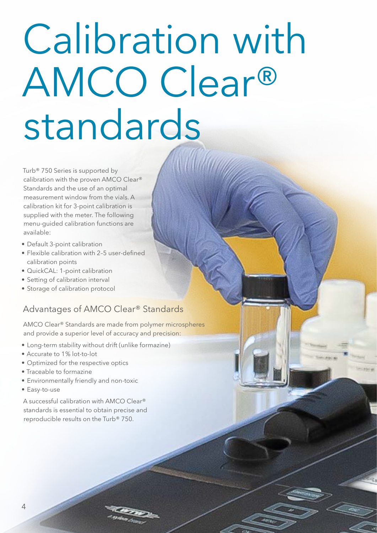## Calibration with AMCO Clear® standards

Turb® 750 Series is supported by calibration with the proven AMCO Clear® Standards and the use of an optimal measurement window from the vials. A calibration kit for 3-point calibration is supplied with the meter. The following menu-guided calibration functions are available:

- Default 3-point calibration
- Flexible calibration with 2–5 user-defined calibration points
- QuickCAL: 1-point calibration
- Setting of calibration interval
- Storage of calibration protocol

## Advantages of AMCO Clear® Standards

AMCO Clear® Standards are made from polymer microspheres and provide a superior level of accuracy and precision:

- Long-term stability without drift (unlike formazine)
- Accurate to 1% lot-to-lot
- Optimized for the respective optics
- Traceable to formazine
- Environmentally friendly and non-toxic
- Easy-to-use

A successful calibration with AMCO Clear® standards is essential to obtain precise and reproducible results on the Turb® 750.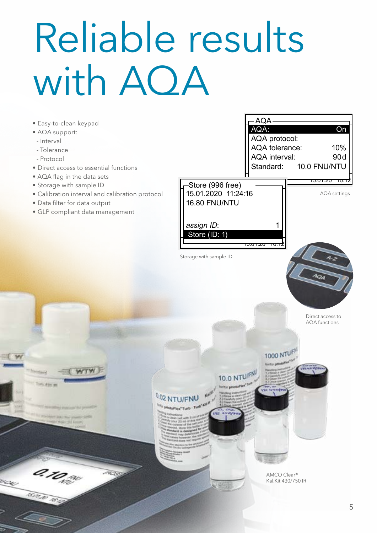## Reliable results with AQA

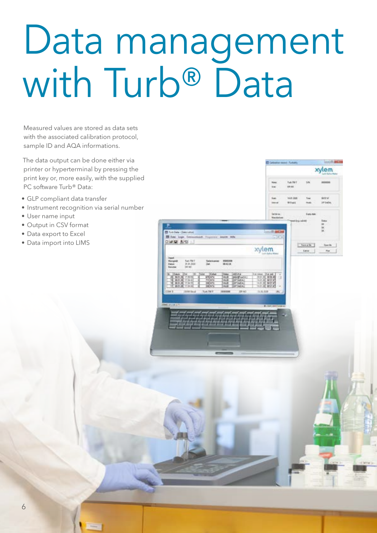## Data management with Turb<sup>®</sup> Data

OLE MAIO

xylem

xylem

Measured values are stored as data sets with the associated calibration protocol. sample ID and AQA informations.

The data output can be done either via printer or hyperterminal by pressing the print key or, more easily, with the supplied PC software Turb® Data:

- GLP compliant data transfer
- Instrument recognition via serial number
- User name input
- Output in CSV format
- Data export to Excel
- Data import into LIMS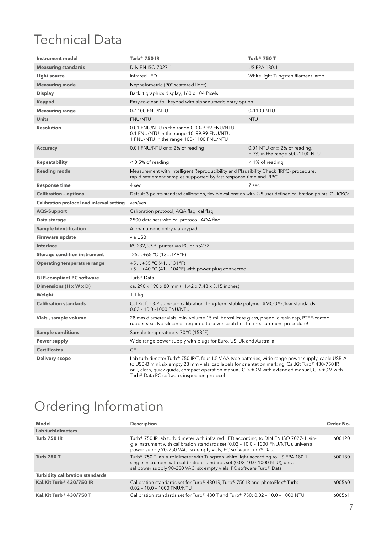## Technical Data

| <b>Instrument model</b>                          | Turb <sup>®</sup> 750 IR                                                                                                                                                                                                                                                                                  | Turb <sup>®</sup> 750 T                                                |
|--------------------------------------------------|-----------------------------------------------------------------------------------------------------------------------------------------------------------------------------------------------------------------------------------------------------------------------------------------------------------|------------------------------------------------------------------------|
| <b>Measuring standards</b>                       | <b>DIN EN ISO 7027-1</b>                                                                                                                                                                                                                                                                                  | <b>US EPA 180.1</b>                                                    |
| <b>Light source</b>                              | Infrared LED                                                                                                                                                                                                                                                                                              | White light Tungsten filament lamp                                     |
| <b>Measuring mode</b>                            | Nephelometric (90° scattered light)                                                                                                                                                                                                                                                                       |                                                                        |
| <b>Display</b>                                   | Backlit graphics display, 160 x 104 Pixels                                                                                                                                                                                                                                                                |                                                                        |
| <b>Keypad</b>                                    | Easy-to-clean foil keypad with alphanumeric entry option                                                                                                                                                                                                                                                  |                                                                        |
| <b>Measuring range</b>                           | 0-1100 FNU/NTU                                                                                                                                                                                                                                                                                            | 0-1100 NTU                                                             |
| <b>Units</b>                                     | FNU/NTU                                                                                                                                                                                                                                                                                                   | <b>NTU</b>                                                             |
| <b>Resolution</b>                                | 0.01 FNU/NTU in the range 0.00-9.99 FNU/NTU<br>0.1 FNU/NTU in the range 10-99.99 FNU/NTU<br>1 FNU/NTU in the range 100-1100 FNU/NTU                                                                                                                                                                       |                                                                        |
| <b>Accuracy</b>                                  | 0.01 FNU/NTU or $\pm$ 2% of reading                                                                                                                                                                                                                                                                       | 0.01 NTU or $\pm$ 2% of reading,<br>$\pm$ 3% in the range 500-1100 NTU |
| <b>Repeatability</b>                             | $< 0.5\%$ of reading                                                                                                                                                                                                                                                                                      | < 1% of reading                                                        |
| <b>Reading mode</b>                              | Measurement with Intelligent Reproducibility and Plausibility Check (IRPC) procedure,<br>rapid settlement samples supported by fast response time and IRPC.                                                                                                                                               |                                                                        |
| <b>Response time</b>                             | 4 sec                                                                                                                                                                                                                                                                                                     | 7 sec                                                                  |
| <b>Calibration - options</b>                     | Default 3 points standard calibration, flexible calibration with 2-5 user defined calibration points, QUICKCal                                                                                                                                                                                            |                                                                        |
| <b>Calibration protocol and interval setting</b> | yes/yes                                                                                                                                                                                                                                                                                                   |                                                                        |
| <b>AQS-Support</b>                               | Calibration protocol, AQA flag, cal flag                                                                                                                                                                                                                                                                  |                                                                        |
| Data storage                                     | 2500 data sets with cal protocol, AQA flag                                                                                                                                                                                                                                                                |                                                                        |
| <b>Sample Identification</b>                     | Alphanumeric entry via keypad                                                                                                                                                                                                                                                                             |                                                                        |
| Firmware update                                  | via USB                                                                                                                                                                                                                                                                                                   |                                                                        |
| <b>Interface</b>                                 | RS 232, USB, printer via PC or RS232                                                                                                                                                                                                                                                                      |                                                                        |
| <b>Storage condition instrument</b>              | $-25+65$ °C (13149 °F)                                                                                                                                                                                                                                                                                    |                                                                        |
| <b>Operating temperature range</b>               | $+5+55$ °C (41131 °F)<br>$+5+40$ °C (41104 °F) with power plug connected                                                                                                                                                                                                                                  |                                                                        |
| <b>GLP-compliant PC software</b>                 | Turb <sup>®</sup> Data                                                                                                                                                                                                                                                                                    |                                                                        |
| Dimensions (H x W x D)                           | ca. 290 x 190 x 80 mm (11.42 x 7.48 x 3.15 inches)                                                                                                                                                                                                                                                        |                                                                        |
| Weight                                           | $1.1$ kg                                                                                                                                                                                                                                                                                                  |                                                                        |
| <b>Calibration standards</b>                     | Cal.Kit for 3-P standard calibration: long-term stable polymer AMCO® Clear standards,<br>0.02 - 10.0 -1000 FNU/NTU                                                                                                                                                                                        |                                                                        |
| Vials, sample volume                             | 28 mm diameter vials, min. volume 15 ml, borosilicate glass, phenolic resin cap, PTFE-coated<br>rubber seal. No silicon oil required to cover scratches for measurement procedure!                                                                                                                        |                                                                        |
| <b>Sample conditions</b>                         | Sample temperature < 70 °C (158 °F)                                                                                                                                                                                                                                                                       |                                                                        |
| <b>Power supply</b>                              | Wide range power supply with plugs for Euro, US, UK and Australia                                                                                                                                                                                                                                         |                                                                        |
| <b>Certificates</b>                              | <b>CE</b>                                                                                                                                                                                                                                                                                                 |                                                                        |
| <b>Delivery scope</b>                            | Lab turbidimeter Turb® 750 IR/T, four 1.5 V AA type batteries, wide range power supply, cable USB-A<br>to USB-B mini, six empty 28 mm vials, cap labels for orientation marking, Cal.Kit Turb® 430/750 IR<br>or T, cloth, quick quide, compact operation manual, CD-ROM with extended manual, CD-ROM with |                                                                        |

## Ordering Information

| <b>Model</b>                           | <b>Description</b>                                                                                                                                                                                                                                                         | Order No. |
|----------------------------------------|----------------------------------------------------------------------------------------------------------------------------------------------------------------------------------------------------------------------------------------------------------------------------|-----------|
| Lab turbidimeters                      |                                                                                                                                                                                                                                                                            |           |
| <b>Turb 750 IR</b>                     | Turb <sup>®</sup> 750 IR lab turbidimeter with infra red LED according to DIN EN ISO 7027-1, sin-<br>gle instrument with calibration standards set (0.02 - 10.0 - 1000 FNU/NTU), universal<br>power supply 90-250 VAC, six empty vials, PC software Turb <sup>®</sup> Data | 600120    |
| <b>Turb 750 T</b>                      | Turb <sup>®</sup> 750 T lab turbidimeter with Tungsten white light according to US EPA 180.1,<br>single instrument with calibration standards set (0.02-10.0-1000 NTU), univer-<br>sal power supply 90-250 VAC, six empty vials, PC software Turb <sup>®</sup> Data        | 600130    |
| <b>Turbidity calibration standards</b> |                                                                                                                                                                                                                                                                            |           |
| Kal.Kit Turb <sup>®</sup> 430/750 IR   | Calibration standards set for Turb® 430 IR, Turb® 750 IR and photoFlex® Turb:<br>0.02 - 10.0 - 1000 FNU/NTU                                                                                                                                                                | 600560    |
| Kal.Kit Turb <sup>®</sup> 430/750 T    | Calibration standards set for Turb® 430 T and Turb® 750: 0.02 - 10.0 - 1000 NTU                                                                                                                                                                                            | 600561    |

Turb® Data PC software, inspection protocol